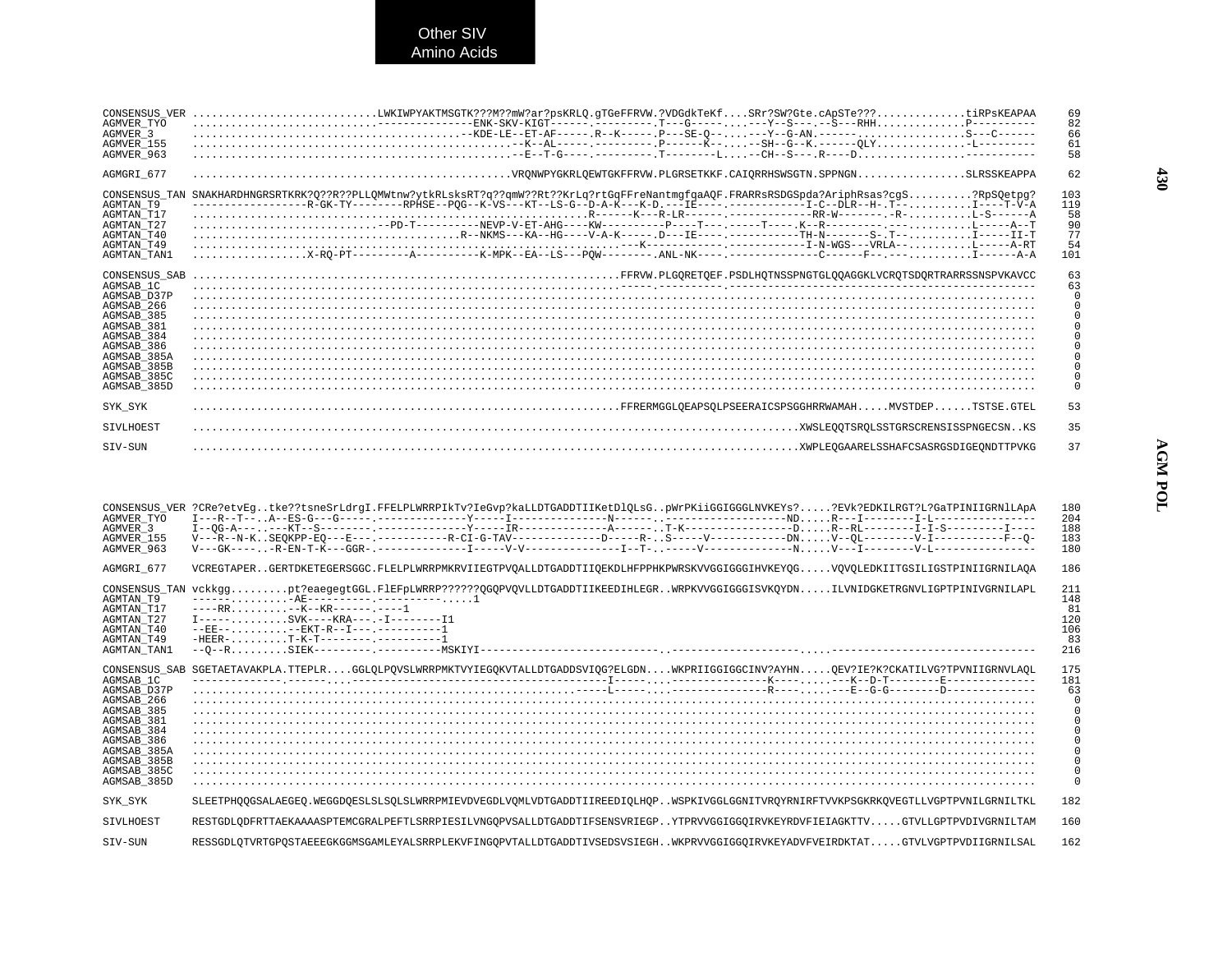Other SIV<br>Amino Acids

| CONSENSUS VER<br>AGMVER TYO<br>AGMVER 3<br>AGMVER 155<br>AGMVER 963                                                                                                         | LWKIWPYAKTMSGTK???M??mW?ar?psKRLQ.gTGeFFRVW.?VDGdkTeKfSRr?SW?Gte.cApSTe???tiRPsKEAPAA<br>$\texttt{1000} \texttt{1111} \texttt{1211} \texttt{1311} \texttt{1411} \texttt{1511} \texttt{1511} \texttt{1511} \texttt{1511} \texttt{1511} \texttt{1511} \texttt{1511} \texttt{1511} \texttt{1511} \texttt{1511} \texttt{1511} \texttt{1511} \texttt{1511} \texttt{1511} \texttt{1511} \texttt{1511} \texttt{1511} \texttt{1511} \texttt{1511} \texttt{$ | 69<br>82<br>66<br>61<br>58                |
|-----------------------------------------------------------------------------------------------------------------------------------------------------------------------------|-----------------------------------------------------------------------------------------------------------------------------------------------------------------------------------------------------------------------------------------------------------------------------------------------------------------------------------------------------------------------------------------------------------------------------------------------------|-------------------------------------------|
| AGMGRI 677                                                                                                                                                                  |                                                                                                                                                                                                                                                                                                                                                                                                                                                     | 62                                        |
| CONSENSUS TAN<br>AGMTAN T9<br>AGMTAN T17<br>AGMTAN T27<br>AGMTAN T40<br>AGMTAN T49<br>AGMTAN TAN1                                                                           | SNAKHARDHNGRSRTKRK?0??R??PLLOMWtnw?ytkRLsksRT?q??qmW??Rt??KrLq?rtGqFFreNantmqfqaAOF.FRARRsRSDGSpda?AriphRsas?cqS?RpSOetpq?<br>----------------R-GK-TY-------RPHSE--POG--K-VS---KT--LS-G--D-A-K---K-D.---IE----.-----------I-C--DLR--H-.T--I----T-V-A                                                                                                                                                                                                | 103<br>119<br>58<br>90<br>77<br>54<br>101 |
| CONSENSUS SAB<br>AGMSAB 1C<br>AGMSAB D37P<br>AGMSAB 266<br>AGMSAB 385<br>AGMSAB 381<br>AGMSAB 384<br>AGMSAB 386<br>AGMSAB 385A<br>AGMSAB 385B<br>AGMSAB 385C<br>AGMSAB 385D |                                                                                                                                                                                                                                                                                                                                                                                                                                                     | 63                                        |
| SYK SYK                                                                                                                                                                     |                                                                                                                                                                                                                                                                                                                                                                                                                                                     | 53                                        |
| <b>STVLHOEST</b>                                                                                                                                                            |                                                                                                                                                                                                                                                                                                                                                                                                                                                     | 35                                        |
| SIV-SUN                                                                                                                                                                     |                                                                                                                                                                                                                                                                                                                                                                                                                                                     | 37                                        |

| AGMVER TYO<br>AGMVER 3<br>AGMVER 155<br>AGMVER 963                                                                                                         | CONSENSUS_VER ?CRe?etvEgtke??tsneSrLdrgI.FFELPLWRRPIkTv?IeGvp?kaLLDTGADDTIIKetDlQLsGpWrPKiiGGIGGGLNVKEYs??EVk?EDKILRGT?L?GaTPINIIGRNlLApA<br>V---R--N-KSEOKPP-EO---E---.------------R-CI-G-TAV-------------D-----R-S-----V---------DNV--OL---------V-I--------------F--O- | 180<br>204<br>188<br>183<br>180                                                                        |
|------------------------------------------------------------------------------------------------------------------------------------------------------------|---------------------------------------------------------------------------------------------------------------------------------------------------------------------------------------------------------------------------------------------------------------------------|--------------------------------------------------------------------------------------------------------|
| AGMGRI 677                                                                                                                                                 | VCREGTAPERGERTDKETEGERSGGC.FLELPLWRRPMKRVIIEGTPVOALLDTGADDTIIOEKDLHFPPHKPWRSKVVGGIGGGIHVKEYOGVOVOLEDKIITGSILIGSTPINIIGRNILAOA                                                                                                                                             | 186                                                                                                    |
| CONSENSUS TAN<br>AGMTAN T9<br>AGMTAN T17<br>AGMTAN T27<br>AGMTAN T40<br>AGMTAN T49<br>AGMTAN TAN1                                                          | vckkggpt?eaegegtGGL.FlEFpLWRRP?????OGOPVOVLLDTGADDTIIKEEDIHLEGRWRPKVVGGIGGGISVKOYDNILVNIDGKETRGNVLIGPTPINIVGRNILAPL<br>$T----.$ SVK----KRA---.-T--------T1<br>$---R$ $R$ $-- ---R$ $K$ $T-R$ $-- -- -- ---$                                                               | 211<br>148<br>81<br>120<br>106<br>83<br>216                                                            |
| AGMSAB 1C<br>AGMSAB D37P<br>AGMSAB 266<br>AGMSAB 385<br>AGMSAB 381<br>AGMSAB 384<br>AGMSAB 386<br>AGMSAB 385A<br>AGMSAB 385B<br>AGMSAB 385C<br>AGMSAB 385D | CONSENSUS SAB SGETAETAVAKPLA.TTEPLRGGLOLPOVSLWRRPMKTVYIEGOKVTALLDTGADDSVIOG?ELGDNWKPRIIGGIGGCINV?AYHNOEV?IE?K?CKATILVG?TPVNIIGRNVLAOL                                                                                                                                     | 175<br>181<br>63<br>$\Omega$<br>$\mathbf 0$<br>$\Omega$<br>$\mathbf 0$<br>$\mathbf 0$<br>0<br>$\Omega$ |
| SYK SYK                                                                                                                                                    | SLEETPHOOGSALAEGEO.WEGGDOESLSLSOLSLWRRPMIEVDVEGDLVOMLVDTGADDTIIREEDIOLHOPWSPKIVGGLGGNITVROYRNIRFTVVKPSGKRKOVEGTLLVGPTPVNILGRNILTKL                                                                                                                                        | 182                                                                                                    |
| <b>STVLHOEST</b>                                                                                                                                           | RESTGDLODFRTTAEKAAAASPTEMCGRALPEFTLSRRPIESILVNGOPVSALLDTGADDTIFSENSVRIEGPYTPRVVGGIGGOIRVKEYRDVFIEIAGKTTVGTVLLGPTPVDIVGRNILTAM                                                                                                                                             | 160                                                                                                    |
| STV-SUN                                                                                                                                                    | RESSGDLOTVRTGPOSTAEEEGKGGMSGAMLEYALSRRPLEKVFINGOPVTALLDTGADDTIVSEDSVSIEGHWKPRVVGGIGGOIRVKEYADVFVEIRDKTATGTVLVGPTPVDIIGRNILSAL                                                                                                                                             | 162                                                                                                    |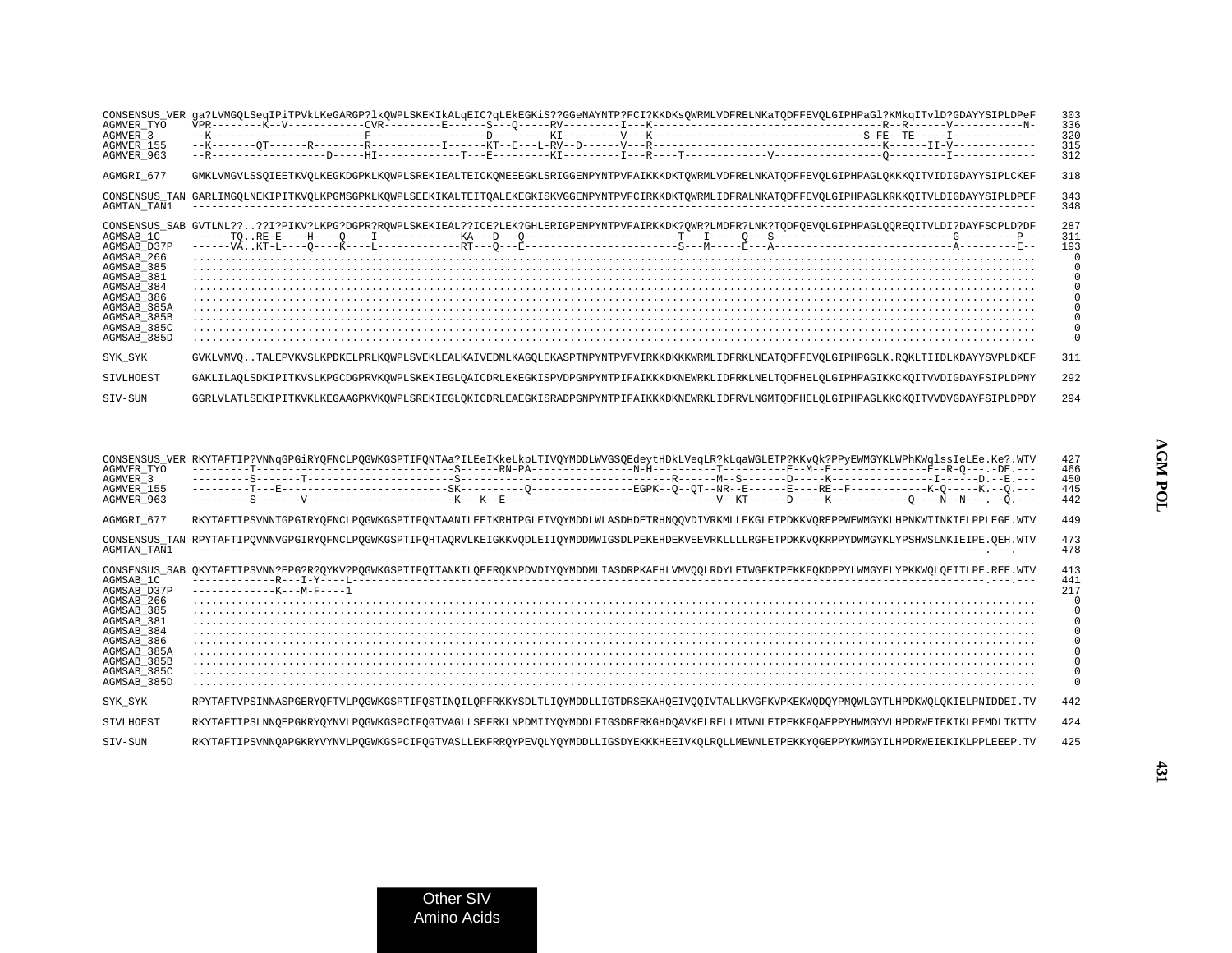| CONSENSUS VER<br>AGMVER TYO<br>AGMVER 3<br>AGMVER 155<br>AGMVER 963                                                                                        | qa?LVMGOLSeqIPiTPVkLKeGARGP?lkOWPLSKEKIkALqEIC?qLEkEGKiS??GGeNAYNTP?FCI?KKDKsOWRMLVDFRELNKaTODFFEVOLGIPHPaGl?KMkqITvlD?GDAYYSIPLDPeF               | 303<br>336<br>320<br>315<br>312 |
|------------------------------------------------------------------------------------------------------------------------------------------------------------|----------------------------------------------------------------------------------------------------------------------------------------------------|---------------------------------|
| AGMGRI 677                                                                                                                                                 | GMKLVMGVLSSQIEETKVOLKEGKDGPKLKOWPLSREKIEALTEICKOMEEEGKLSRIGGENPYNTPVFAIKKKDKTOWRMLVDFRELNKATODFFEVOLGIPHPAGLOKKKOITVIDIGDAYYSIPLCKEF               | 318                             |
| AGMTAN TAN1                                                                                                                                                | CONSENSUS TAN GARLIMGOLNEKIPITKVOLKPGMSGPKLKOWPLSEEKIKALTEITOALEKEGKISKVGGENPYNTPVFCIRKKDKTOWRMLIDFRALNKATODFFEVOLGIPHPAGLKRKKOITVLDIGDAYYSIPLDPEF | 343<br>348                      |
| AGMSAB 1C<br>AGMSAB D37P<br>AGMSAB 266<br>AGMSAB 385<br>AGMSAB 381<br>AGMSAB 384<br>AGMSAB 386<br>AGMSAB_385A<br>AGMSAB_385B<br>AGMSAB 385C<br>AGMSAB 385D | CONSENSUS SAB GVTLNL????I?PIKV?LKPG?DGPR?ROWPLSKEKIEAL??ICE?LEK?GHLERIGPENPYNTPVFAIRKKDK?OWR?LMDFR?LNK?TODFOEVOLGIPHPAGLOOREOITVLDI?DAYFSCPLD?DF   | 287<br>311<br>193               |
| SYK SYK                                                                                                                                                    | GVKLVMVOTALEPVKVSLKPDKELPRLKOWPLSVEKLEALKAIVEDMLKAGOLEKASPTNPYNTPVFVIRKKDKKKWRMLIDFRKLNEATODFFEVOLGIPHPGGLK.ROKLTIIDLKDAYYSVPLDKEF                 | 311                             |
| <b>STVLHOEST</b>                                                                                                                                           | GAKLILAQLSDKIPITKVSLKPGCDGPRVKOWPLSKEKIEGLQAICDRLEKEGKISPVDPGNPYNTPIFAIKKKDKNEWRKLIDFRKLNELTODFHELQLGIPHPAGIKKCKQITVVDIGDAYFSIPLDPNY               | 292                             |
| STV-SUN                                                                                                                                                    | GGRLVLATLSEKIPITKVKLKEGAAGPKVKOWPLSREKIEGLOKICDRLEAEGKISRADPGNPYNTPIFAIKKKDKNEWRKLIDFRVLNGMTODFHELOLGIPHPAGLKKCKOITVVDVGDAYFSIPLDPDY               | 294                             |

| AGMVER TYO<br>AGMVER 3<br>AGMVER 155<br>AGMVER 963                                                                                                                          | CONSENSUS_VER RKYTAFTIP?VNNqGPGiRYQFNCLPQGWKGSPTIFQNTAa?ILEeIKkeLkpLTIVQYMDDLWVGSQEdeytHDkLVeqLR?kLqaWGLETP?KKvQk?PPyEWMGYKLWPhKWqlssIeLEe.Ke?.WTV             | 427<br>466<br>450<br>445<br>442 |
|-----------------------------------------------------------------------------------------------------------------------------------------------------------------------------|----------------------------------------------------------------------------------------------------------------------------------------------------------------|---------------------------------|
| AGMGRI 677                                                                                                                                                                  | RKYTAFTIPSVNNTGPGIRYOFNCLPOGWKGSPTIFONTAANILEEIKRHTPGLEIVOYMDDLWLASDHDETRHNOOVDIVRKMLLEKGLETPDKKVOREPPWEWMGYKLHPNKWTINKIELPPLEGE.WTV                           | 44 <sup>9</sup>                 |
| AGMTAN TAN1                                                                                                                                                                 | CONSENSUS_TAN RPYTAFTIPQVNNVGPGIRYQFNCLPQGWKGSPTIFQHTAQRVLKEIGKKVQDLEIIQYMDDMWIGSDLPEKEHDEKVEEVRKLLLLRGFETPDKKVQKRPPYDWMGYKLYPSHWSLNKIEIPE.QEH.WTV             | 473<br>478                      |
| CONSENSUS SAB<br>AGMSAB 1C<br>AGMSAB D37P<br>AGMSAB 266<br>AGMSAB 385<br>AGMSAB 381<br>AGMSAB 384<br>AGMSAB 386<br>AGMSAB_385A<br>AGMSAB 385B<br>AGMSAB 385C<br>AGMSAB 385D | QKYTAFTIPSVNN?EPG?R?QYKV?PQGWKGSPTIFQTTANKILQEFRQKNPDVDIYQYMDDMLIASDRPKAEHLVMVQQLRDYLETWGFKTPEKKFQKDPPYLWMGYELYPKKWQLQEITLPE.REE.WTV<br>$---------K---M-F---1$ | 413<br>441<br>217               |
| SYK SYK                                                                                                                                                                     | RPYTAFTVPSINNASPGERYQFTVLPQGWKGSPTIFQSTINQILQPFRKKYSDLTLIQYMDDLLIGTDRSEKAHQEIVQQIVTALLKVGFKVPKEKWQDQYPMQWLGYTLHPDKWQLQKIELPNIDDEI.TV                           | 442                             |
| SIVLHOEST                                                                                                                                                                   | RKYTAFTIPSLNNOEPGKRYQYNVLPOGWKGSPCIFOGTVAGLLSEFRKLNPDMIIYQYMDDLFIGSDRERKGHDOAVKELRELLMTWNLETPEKKFOAEPPYHWMGYVLHPDRWEIEKIKLPEMDLTKTTV                           | 424                             |
| STV-SUN                                                                                                                                                                     | RKYTAFTIPSVNNOAPGKRYVYNVLPOGWKGSPCIFOGTVASLLEKFRROYPEVOLYOYMDDLLIGSDYEKKKHEEIVKOLROLLMEWNLETPEKKYOGEPPYKWMGYILHPDRWEIEKIKLPPLEEEP.TV                           | 425                             |

**431**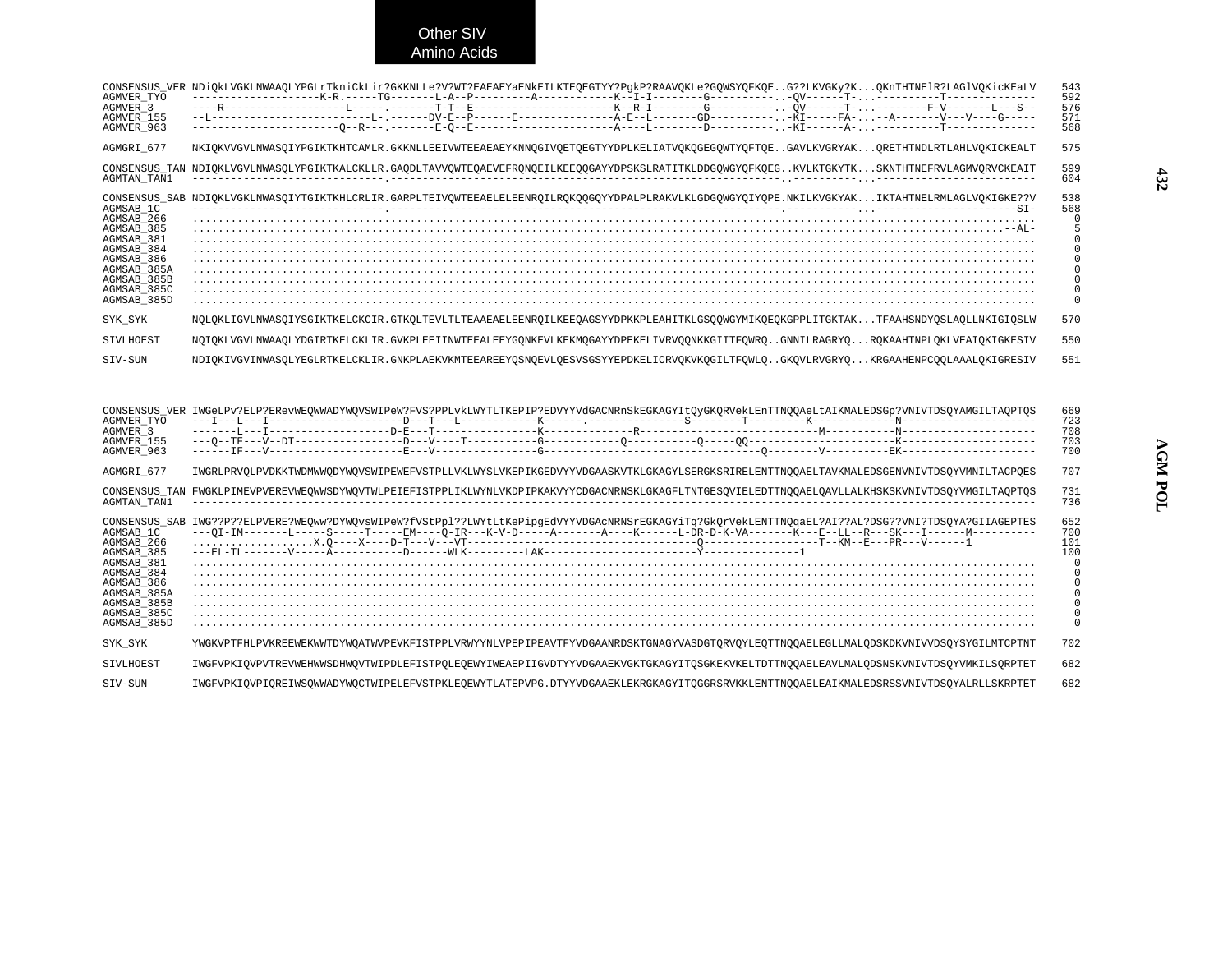Other SIV Amino Acids

| CONSENSUS VER<br>AGMVER TYO<br>AGMVER 3<br>AGMVER 155<br>AGMVER 963                                                                                          | NDiOkLVGKLNWAAOLYPGLrTkniCkLir?GKKNLLe?V?WT?EAEAEYaENkEILKTEOEGTYY?PqkP?RAAVOKLe?GOWSYOFKOEG??LKVGKy?KOKnTHTNElR?LAGlVOKicKEaLV                    | 543<br>592<br>576<br>571<br>568 |
|--------------------------------------------------------------------------------------------------------------------------------------------------------------|----------------------------------------------------------------------------------------------------------------------------------------------------|---------------------------------|
| AGMGRI 677                                                                                                                                                   | NKIOKVVGVLNWASOIYPGIKTKHTCAMLR.GKKNLLEEIVWTEEAEAEYKNNOGIVOETOEGTYYDPLKELIATVOKOGEGOWTYOFTOEGAVLKVGRYAKORETHTNDLRTLAHLVOKICKEALT                    | 575                             |
| <b>AGMTAN TAN1</b>                                                                                                                                           | CONSENSUS TAN NDIOKLVGVLNWASOLYPGIKTKALCKLLR.GAODLTAVVOWTEOAEVEFRONOEILKEEOOGAYYDPSKSLRATITKLDDGOWGYOFKOEGKVLKTGKYTKSKNTHTNEFRVLAGMVORVCKEAIT      | 599<br>604                      |
| CONSENSUS SAB<br>AGMSAB 1C<br>AGMSAB 266<br>AGMSAB 385<br>AGMSAB 381<br>AGMSAB 384<br>AGMSAB 386<br>AGMSAB 385A<br>AGMSAB 385B<br>AGMSAB 385C<br>AGMSAB 385D | NDIQKLVGKLNWASQIYTGIKTKHLCRLIR.GARPLTEIVQWTEEAELELEENRQILRQKQQGQYYDPALPLRAKVLKLGDGQWGYQIYQPE.NKILKVGKYAKIKTAHTNELRMLAGLVQKIGKE??V                  | 538<br>568                      |
| SYK SYK                                                                                                                                                      | NOLOKLIGVLNWASOIYSGIKTKELCKCIR.GTKOLTEVLTLTEAAEAELEENROILKEEOAGSYYDPKKPLEAHITKLGSOOWGYMIKOEOKGPPLITGKTAKTFAAHSNDYOSLAOLLNKIGIOSLW                  | 570                             |
| SIVLHOEST                                                                                                                                                    | NOIOKLVGVLNWAAOLYDGIRTKELCKLIR.GVKPLEEIINWTEEALEEYGONKEVLKEKMOGAYYDPEKELIVRVOONKKGIITFOWROGNNILRAGRYOROKAAHTNPLOKLVEAIOKIGKESIV                    | 550                             |
| STV-SUN                                                                                                                                                      | NDIOKIVGVINWASOLYEGLRTKELCKLIR.GNKPLAEKVKMTEEAREEYOSNOEVLOESVSGSYYEPDKELICRVOKVKOGILTFOWLOGKOVLRVGRYOKRGAAHENPCOOLAAALOKIGRESIV                    | 551                             |
|                                                                                                                                                              | CONSENSUS_VER IWGeLPv?ELP?ERevWEQWWADYWQVSWIPeW?FVS?PPLvkLWYTLTKEPIP?EDVYYVdGACNRnSkEGKAGYItQyGKQRVekLEnTTNQQAeLtAIKMALEDSGp?VNIVTDSQYAMGILTAQPTQS | 669<br>723                      |

| AGMVER TYO<br>AGMVER 3<br>AGMVER 155<br>AGMVER 963                                                                                                           |                                                                                                                                                                                                                                                                       | 723<br>708<br>703<br>700 |
|--------------------------------------------------------------------------------------------------------------------------------------------------------------|-----------------------------------------------------------------------------------------------------------------------------------------------------------------------------------------------------------------------------------------------------------------------|--------------------------|
| AGMGRI 677                                                                                                                                                   | IWGRLPRVOLPVDKKTWDMWWODYWOVSWIPEWEFVSTPLLVKLWYSLVKEPIKGEDVYYVDGAASKVTKLGKAGYLSERGKSRIRELENTTNOOAELTAVKMALEDSGENVNIVTDSOYVMNILTACPOES                                                                                                                                  | 707                      |
| <b>AGMTAN TAN1</b>                                                                                                                                           | CONSENSUS_TAN FWGKLPIMEVPVEREVWEQWWSDYWQVTWLPEIEFISTPPLIKLWYNLVKDPIPKAKVYYCDGACNRNSKLGKAGFLTNTGESQVIELEDTTNQQAELQAVLLALKHSKSKVNIVTDSQYVMGILTAQPTQS                                                                                                                    | 731<br>736               |
| CONSENSUS SAB<br>AGMSAB 1C<br>AGMSAB 266<br>AGMSAB 385<br>AGMSAB 381<br>AGMSAB 384<br>AGMSAB_386<br>AGMSAB_385A<br>AGMSAB 385B<br>AGMSAB_385C<br>AGMSAB 385D | IWG??P??ELPVERE?WEOww?DYWQvsWIPeW?fVStPpl??LWYtLtKePipqEdVYYVDGAcNRNSrEGKAGYiTq?GkOrVekLENTTNQqaEL?AI??AL?DSG??VNI?TDSQYA?GIIAGEPTES<br>---0I-IM-------L-----S-----T----EM----0-IR---K-V-D-----A-------A-----L-DR-D-K-VA-------K---E--LL--R---SK---I-------M--------- | 652<br>700<br>101<br>100 |
| SYK SYK                                                                                                                                                      | YWGKVPTFHLPVKREEWEKWWTDYWQATWVPEVKFISTPPLVRWYYNLVPEPIPEAVTFYVDGAANRDSKTGNAGYVASDGTQRVQYLEQTTNQQAELEGLLMALQDSKDKVNIVVDSQYSYGILMTCPTNT                                                                                                                                  | 702                      |
| STVLHOEST                                                                                                                                                    | IWGFVPKIOVPVTREVWEHWWSDHWOVTWIPDLEFISTPOLEOEWYIWEAEPIIGVDTYYVDGAAEKVGKTGKAGYITOSGKEKVKELTDTTNOOAELEAVLMALODSNSKVNIVTDSOYVMKILSORPTET                                                                                                                                  | 682                      |
| SIV-SUN                                                                                                                                                      | IWGFVPKIOVPIOREIWSOWWADYWOCTWIPELEFVSTPKLEOEWYTLATEPVPG.DTYYVDGAAEKLEKRGKAGYITOGGRSRVKKLENTTNOOAELEAIKMALEDSRSSVNIVTDSOYALRLLSKRPTET                                                                                                                                  | 682                      |

**432**